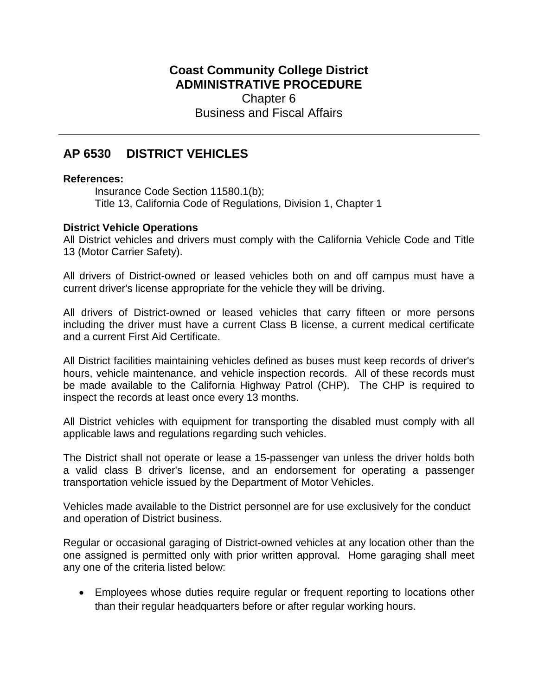## **Coast Community College District ADMINISTRATIVE PROCEDURE** Chapter 6 Business and Fiscal Affairs

## **AP 6530 DISTRICT VEHICLES**

## **References:**

Insurance Code Section 11580.1(b); Title 13, California Code of Regulations, Division 1, Chapter 1

## **District Vehicle Operations**

All District vehicles and drivers must comply with the California Vehicle Code and Title 13 (Motor Carrier Safety).

All drivers of District-owned or leased vehicles both on and off campus must have a current driver's license appropriate for the vehicle they will be driving.

All drivers of District-owned or leased vehicles that carry fifteen or more persons including the driver must have a current Class B license, a current medical certificate and a current First Aid Certificate.

All District facilities maintaining vehicles defined as buses must keep records of driver's hours, vehicle maintenance, and vehicle inspection records. All of these records must be made available to the California Highway Patrol (CHP). The CHP is required to inspect the records at least once every 13 months.

All District vehicles with equipment for transporting the disabled must comply with all applicable laws and regulations regarding such vehicles.

The District shall not operate or lease a 15-passenger van unless the driver holds both a valid class B driver's license, and an endorsement for operating a passenger transportation vehicle issued by the Department of Motor Vehicles.

Vehicles made available to the District personnel are for use exclusively for the conduct and operation of District business.

Regular or occasional garaging of District-owned vehicles at any location other than the one assigned is permitted only with prior written approval. Home garaging shall meet any one of the criteria listed below:

• Employees whose duties require regular or frequent reporting to locations other than their regular headquarters before or after regular working hours.